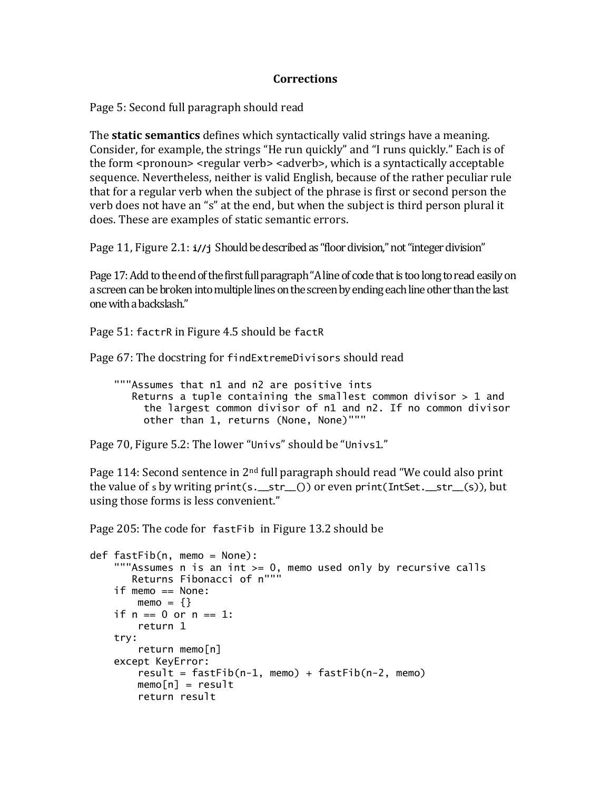## **Corrections**

Page 5: Second full paragraph should read

The **static semantics** defines which syntactically valid strings have a meaning. Consider, for example, the strings "He run quickly" and "I runs quickly." Each is of the form <pronoun> <regular verb> <adverb>, which is a syntactically acceptable sequence. Nevertheless, neither is valid English, because of the rather peculiar rule that for a regular verb when the subject of the phrase is first or second person the verb does not have an "s" at the end, but when the subject is third person plural it does. These are examples of static semantic errors.

Page 11, Figure 2.1: **i//j** Should be described as "floor division," not "integer division"

Page 17: Add to the end of the first full paragraph "A line of code that is too long to read easily on a screen can be broken into multiple lines on the screen by ending each line other than the last one with a backslash."

Page 51: factrR in Figure 4.5 should be factR

Page 67: The docstring for findExtremeDivisors should read

 """Assumes that n1 and n2 are positive ints Returns a tuple containing the smallest common divisor  $> 1$  and the largest common divisor of n1 and n2. If no common divisor other than 1, returns (None, None)"""

Page 70, Figure 5.2: The lower "Univs" should be "Univs1."

Page 114: Second sentence in 2nd full paragraph should read "We could also print the value of s by writing print(s.\_\_str\_()) or even print(IntSet.\_\_str\_(s)), but using those forms is less convenient."

Page 205: The code for fastFib in Figure 13.2 should be

```
def fastFib(n, memo = None):
     """Assumes n is an int >= 0, memo used only by recursive calls
        Returns Fibonacci of n"""
     if memo == None:
       memo = \{ \}if n == 0 or n == 1:
         return 1
     try:
         return memo[n]
     except KeyError:
        result = fastFib(n-1, memo) + fastFib(n-2, memo)memo[n] = result return result
```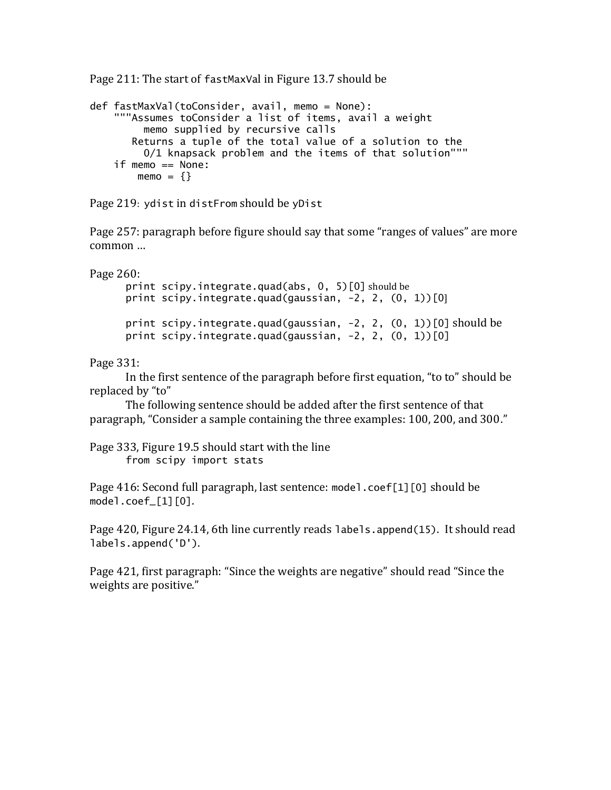Page 211: The start of fastMaxVal in Figure 13.7 should be

```
def fastMaxVal(toConsider, avail, memo = None):
     """Assumes toConsider a list of items, avail a weight
         memo supplied by recursive calls
 Returns a tuple of the total value of a solution to the
 0/1 knapsack problem and the items of that solution"""
    if memo == None:
       memo = \{\}
```
Page 219: ydist in distFrom should be yDist

Page 257: paragraph before figure should say that some "ranges of values" are more common …

Page 260:

```
print scipy.integrate.quad(abs, 0, 5)[0] should be
print scipy.integrate.quad(gaussian, -2, 2, (0, 1))[0]
print scipy.integrate.quad(gaussian, -2, 2, (0, 1))[0] should be
print scipy.integrate.quad(gaussian, -2, 2, (0, 1))[0]
```
Page 331:

In the first sentence of the paragraph before first equation, "to to" should be replaced by "to"

The following sentence should be added after the first sentence of that paragraph, "Consider a sample containing the three examples: 100, 200, and 300."

Page 333, Figure 19.5 should start with the line from scipy import stats

Page 416: Second full paragraph, last sentence: model.coef[1][0] should be model.coef\_[1][0].

Page 420, Figure 24.14, 6th line currently reads labels.append(15). It should read labels.append('D').

Page 421, first paragraph: "Since the weights are negative" should read "Since the weights are positive."